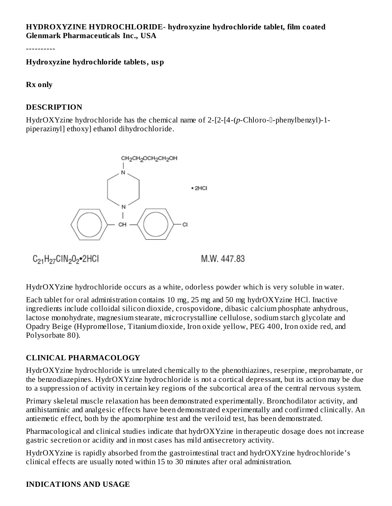#### **HYDROXYZINE HYDROCHLORIDE- hydroxyzine hydrochloride tablet, film coated Glenmark Pharmaceuticals Inc., USA**

----------

**Hydroxyzine hydrochloride tablets, usp**

#### **Rx only**

#### **DESCRIPTION**

HydrOXYzine hydrochloride has the chemical name of 2-[2-[4-(p-Chloro-<sup>[]</sup>-phenylbenzyl]-1piperazinyl] ethoxy] ethanol dihydrochloride.



 $C_{21}H_{27}C1N_2O_2$ •2HCI

M.W. 447.83

HydrOXYzine hydrochloride occurs as a white, odorless powder which is very soluble in water.

Each tablet for oral administration contains 10 mg, 25 mg and 50 mg hydrOXYzine HCl. Inactive ingredients include colloidal silicon dioxide, crospovidone, dibasic calcium phosphate anhydrous, lactose monohydrate, magnesium stearate, microcrystalline cellulose, sodium starch glycolate and Opadry Beige (Hypromellose, Titanium dioxide, Iron oxide yellow, PEG 400, Iron oxide red, and Polysorbate 80).

### **CLINICAL PHARMACOLOGY**

HydrOXYzine hydrochloride is unrelated chemically to the phenothiazines, reserpine, meprobamate, or the benzodiazepines. HydrOXYzine hydrochloride is not a cortical depressant, but its action may be due to a suppression of activity in certain key regions of the subcortical area of the central nervous system.

Primary skeletal muscle relaxation has been demonstrated experimentally. Bronchodilator activity, and antihistaminic and analgesic effects have been demonstrated experimentally and confirmed clinically. An antiemetic effect, both by the apomorphine test and the veriloid test, has been demonstrated.

Pharmacological and clinical studies indicate that hydrOXYzine in therapeutic dosage does not increase gastric secretion or acidity and in most cases has mild antisecretory activity.

HydrOXYzine is rapidly absorbed from the gastrointestinal tract and hydrOXYzine hydrochloride's clinical effects are usually noted within 15 to 30 minutes after oral administration.

### **INDICATIONS AND USAGE**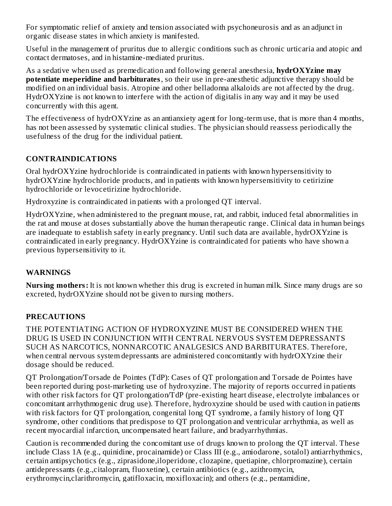For symptomatic relief of anxiety and tension associated with psychoneurosis and as an adjunct in organic disease states in which anxiety is manifested.

Useful in the management of pruritus due to allergic conditions such as chronic urticaria and atopic and contact dermatoses, and in histamine-mediated pruritus.

As a sedative when used as premedication and following general anesthesia, **hydrOXYzine may potentiate meperidine and barbiturates**, so their use in pre-anesthetic adjunctive therapy should be modified on an individual basis. Atropine and other belladonna alkaloids are not affected by the drug. HydrOXYzine is not known to interfere with the action of digitalis in any way and it may be used concurrently with this agent.

The effectiveness of hydrOXYzine as an antianxiety agent for long-term use, that is more than 4 months, has not been assessed by systematic clinical studies. The physician should reassess periodically the usefulness of the drug for the individual patient.

### **CONTRAINDICATIONS**

Oral hydrOXYzine hydrochloride is contraindicated in patients with known hypersensitivity to hydrOXYzine hydrochloride products, and in patients with known hypersensitivity to cetirizine hydrochloride or levocetirizine hydrochloride.

Hydroxyzine is contraindicated in patients with a prolonged QT interval.

HydrOXYzine, when administered to the pregnant mouse, rat, and rabbit, induced fetal abnormalities in the rat and mouse at doses substantially above the human therapeutic range. Clinical data in human beings are inadequate to establish safety in early pregnancy. Until such data are available, hydrOXYzine is contraindicated in early pregnancy. HydrOXYzine is contraindicated for patients who have shown a previous hypersensitivity to it.

#### **WARNINGS**

**Nursing mothers:** It is not known whether this drug is excreted in human milk. Since many drugs are so excreted, hydrOXYzine should not be given to nursing mothers.

#### **PRECAUTIONS**

THE POTENTIATING ACTION OF HYDROXYZINE MUST BE CONSIDERED WHEN THE DRUG IS USED IN CONJUNCTION WITH CENTRAL NERVOUS SYSTEM DEPRESSANTS SUCH AS NARCOTICS, NONNARCOTIC ANALGESICS AND BARBITURATES. Therefore, when central nervous system depressants are administered concomitantly with hydrOXYzine their dosage should be reduced.

QT Prolongation/Torsade de Pointes (TdP): Cases of QT prolongation and Torsade de Pointes have been reported during post-marketing use of hydroxyzine. The majority of reports occurred in patients with other risk factors for QT prolongation/TdP (pre-existing heart disease, electrolyte imbalances or concomitant arrhythmogenic drug use). Therefore, hydroxyzine should be used with caution in patients with risk factors for QT prolongation, congenital long QT syndrome, a family history of long QT syndrome, other conditions that predispose to QT prolongation and ventricular arrhythmia, as well as recent myocardial infarction, uncompensated heart failure, and bradyarrhythmias.

Caution is recommended during the concomitant use of drugs known to prolong the QT interval. These include Class 1A (e.g., quinidine, procainamide) or Class III (e.g., amiodarone, sotalol) antiarrhythmics, certain antipsychotics (e.g., ziprasidone,iloperidone, clozapine, quetiapine, chlorpromazine), certain antidepressants (e.g.,citalopram, fluoxetine), certain antibiotics (e.g., azithromycin, erythromycin,clarithromycin, gatifloxacin, moxifloxacin); and others (e.g., pentamidine,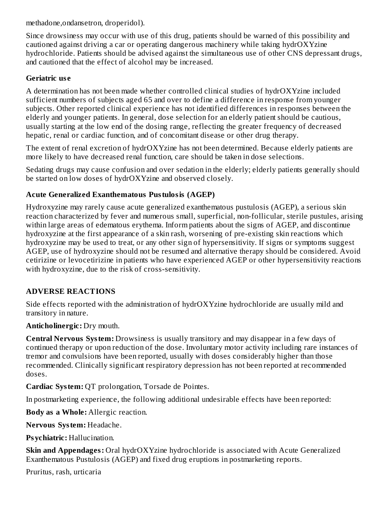methadone,ondansetron, droperidol).

Since drowsiness may occur with use of this drug, patients should be warned of this possibility and cautioned against driving a car or operating dangerous machinery while taking hydrOXYzine hydrochloride. Patients should be advised against the simultaneous use of other CNS depressant drugs, and cautioned that the effect of alcohol may be increased.

### **Geriatric us e**

A determination has not been made whether controlled clinical studies of hydrOXYzine included sufficient numbers of subjects aged 65 and over to define a difference in response from younger subjects. Other reported clinical experience has not identified differences in responses between the elderly and younger patients. In general, dose selection for an elderly patient should be cautious, usually starting at the low end of the dosing range, reflecting the greater frequency of decreased hepatic, renal or cardiac function, and of concomitant disease or other drug therapy.

The extent of renal excretion of hydrOXYzine has not been determined. Because elderly patients are more likely to have decreased renal function, care should be taken in dose selections.

Sedating drugs may cause confusion and over sedation in the elderly; elderly patients generally should be started on low doses of hydrOXYzine and observed closely.

### **Acute Generalized Exanthematous Pustulosis (AGEP)**

Hydroxyzine may rarely cause acute generalized exanthematous pustulosis (AGEP), a serious skin reaction characterized by fever and numerous small, superficial, non-follicular, sterile pustules, arising within large areas of edematous erythema. Inform patients about the signs of AGEP, and discontinue hydroxyzine at the first appearance of a skin rash, worsening of pre-existing skin reactions which hydroxyzine may be used to treat, or any other sign of hypersensitivity. If signs or symptoms suggest AGEP, use of hydroxyzine should not be resumed and alternative therapy should be considered. Avoid cetirizine or levocetirizine in patients who have experienced AGEP or other hypersensitivity reactions with hydroxyzine, due to the risk of cross-sensitivity.

## **ADVERSE REACTIONS**

Side effects reported with the administration of hydrOXYzine hydrochloride are usually mild and transitory in nature.

### **Anticholinergic:** Dry mouth.

**Central Nervous System:** Drowsiness is usually transitory and may disappear in a few days of continued therapy or upon reduction of the dose. Involuntary motor activity including rare instances of tremor and convulsions have been reported, usually with doses considerably higher than those recommended. Clinically significant respiratory depression has not been reported at recommended doses.

**Cardiac System:** QT prolongation, Torsade de Pointes.

In postmarketing experience, the following additional undesirable effects have been reported:

**Body as a Whole:** Allergic reaction.

**Nervous System:** Headache.

**Psychiatric:** Hallucination.

**Skin and Appendages:** Oral hydrOXYzine hydrochloride is associated with Acute Generalized Exanthematous Pustulosis (AGEP) and fixed drug eruptions in postmarketing reports.

Pruritus, rash, urticaria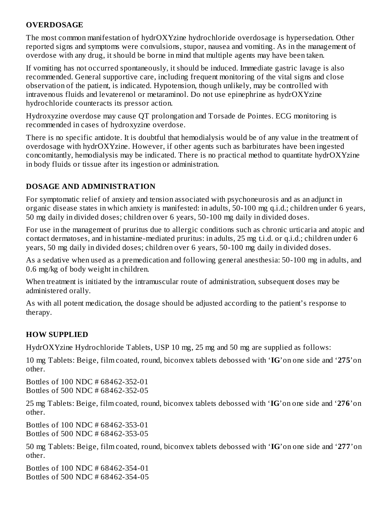### **OVERDOSAGE**

The most common manifestation of hydrOXYzine hydrochloride overdosage is hypersedation. Other reported signs and symptoms were convulsions, stupor, nausea and vomiting. As in the management of overdose with any drug, it should be borne in mind that multiple agents may have been taken.

If vomiting has not occurred spontaneously, it should be induced. Immediate gastric lavage is also recommended. General supportive care, including frequent monitoring of the vital signs and close observation of the patient, is indicated. Hypotension, though unlikely, may be controlled with intravenous fluids and levaterenol or metaraminol. Do not use epinephrine as hydrOXYzine hydrochloride counteracts its pressor action.

Hydroxyzine overdose may cause QT prolongation and Torsade de Pointes. ECG monitoring is recommended in cases of hydroxyzine overdose.

There is no specific antidote. It is doubtful that hemodialysis would be of any value in the treatment of overdosage with hydrOXYzine. However, if other agents such as barbiturates have been ingested concomitantly, hemodialysis may be indicated. There is no practical method to quantitate hydrOXYzine in body fluids or tissue after its ingestion or administration.

### **DOSAGE AND ADMINISTRATION**

For symptomatic relief of anxiety and tension associated with psychoneurosis and as an adjunct in organic disease states in which anxiety is manifested: in adults, 50-100 mg q.i.d.; children under 6 years, 50 mg daily in divided doses; children over 6 years, 50-100 mg daily in divided doses.

For use in the management of pruritus due to allergic conditions such as chronic urticaria and atopic and contact dermatoses, and in histamine-mediated pruritus: in adults, 25 mg t.i.d. or q.i.d.; children under 6 years, 50 mg daily in divided doses; children over 6 years, 50-100 mg daily in divided doses.

As a sedative when used as a premedication and following general anesthesia: 50-100 mg in adults, and 0.6 mg/kg of body weight in children.

When treatment is initiated by the intramuscular route of administration, subsequent doses may be administered orally.

As with all potent medication, the dosage should be adjusted according to the patient's response to therapy.

#### **HOW SUPPLIED**

HydrOXYzine Hydrochloride Tablets, USP 10 mg, 25 mg and 50 mg are supplied as follows:

10 mg Tablets: Beige, film coated, round, biconvex tablets debossed with '**IG**'on one side and '**275**'on other.

Bottles of 100 NDC # 68462-352-01 Bottles of 500 NDC # 68462-352-05

25 mg Tablets: Beige, film coated, round, biconvex tablets debossed with '**IG**'on one side and '**276**'on other.

Bottles of 100 NDC # 68462-353-01 Bottles of 500 NDC # 68462-353-05

50 mg Tablets: Beige, film coated, round, biconvex tablets debossed with '**IG**'on one side and '**277**'on other.

Bottles of 100 NDC # 68462-354-01 Bottles of 500 NDC # 68462-354-05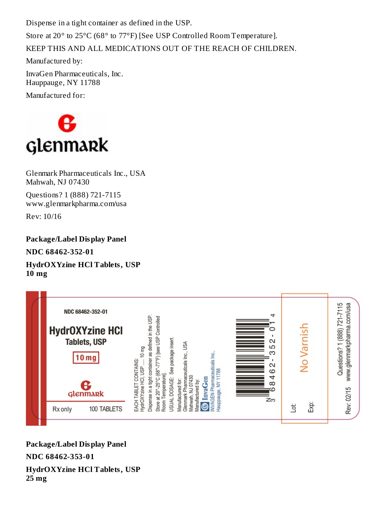Dispense in a tight container as defined in the USP.

Store at 20° to 25°C (68° to 77°F) [See USP Controlled Room Temperature].

KEEP THIS AND ALL MEDICATIONS OUT OF THE REACH OF CHILDREN.

Manufactured by:

InvaGen Pharmaceuticals, Inc. Hauppauge, NY 11788

Manufactured for:



Glenmark Pharmaceuticals Inc., USA Mahwah, NJ 07430

Questions? 1 (888) 721-7115 www.glenmarkpharma.com/usa

Rev: 10/16

**Package/Label Display Panel**

**NDC 68462-352-01**

**HydrOXYzine HCl Tablets, USP 10 mg**



**Package/Label Display Panel NDC 68462-353-01 HydrOXYzine HCl Tablets, USP 25 mg**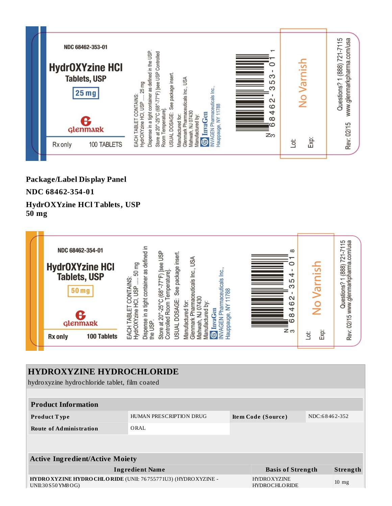

**Package/Label Display Panel NDC 68462-354-01 HydrOXYzine HCl Tablets, USP**

**50 mg**



#### **HYDROXYZINE HYDROCHLORIDE**

hydroxyzine hydrochloride tablet, film coated

| <b>Product Information</b>             |                         |                          |               |
|----------------------------------------|-------------------------|--------------------------|---------------|
| <b>Product Type</b>                    | HUMAN PRESCRIPTION DRUG | Item Code (Source)       | NDC:68462-352 |
| <b>Route of Administration</b><br>ORAL |                         |                          |               |
|                                        |                         |                          |               |
| <b>Active Ingredient/Active Moiety</b> |                         |                          |               |
|                                        | <b>Ingredient Name</b>  | <b>Basis of Strength</b> | Strength      |
|                                        |                         |                          |               |

HYDROXYZINE HYDROCHLORIDE

10 mg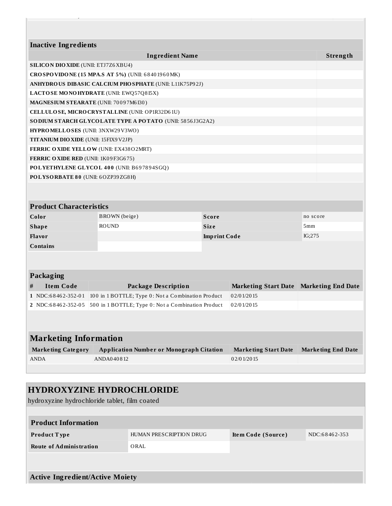|                              | <b>Inactive Ingredients</b>                 |                                                                  |                          |                             |                           |  |
|------------------------------|---------------------------------------------|------------------------------------------------------------------|--------------------------|-----------------------------|---------------------------|--|
| <b>Ingredient Name</b>       |                                             |                                                                  |                          | Strength                    |                           |  |
|                              | <b>SILICON DIO XIDE (UNII: ETJ7Z6 XBU4)</b> |                                                                  |                          |                             |                           |  |
|                              |                                             | CROSPOVIDONE (15 MPA.S AT 5%) (UNII: 68401960MK)                 |                          |                             |                           |  |
|                              |                                             | ANHYDROUS DIBASIC CALCIUM PHOSPHATE (UNII: L11K75P92J)           |                          |                             |                           |  |
|                              |                                             | LACTOSE MONOHYDRATE (UNII: EWQ57Q8I5X)                           |                          |                             |                           |  |
|                              |                                             | MAGNESIUM STEARATE (UNII: 70097M6I30)                            |                          |                             |                           |  |
|                              |                                             | CELLULOSE, MICRO CRYSTALLINE (UNII: OP1R32D61U)                  |                          |                             |                           |  |
|                              |                                             | SODIUM STARCH GLYCOLATE TYPE A POTATO (UNII: 5856J3G2A2)         |                          |                             |                           |  |
|                              | HYPROMELLOSES (UNII: 3NXW29V3WO)            |                                                                  |                          |                             |                           |  |
|                              | TITANIUM DIO XIDE (UNII: 15FIX9V2JP)        |                                                                  |                          |                             |                           |  |
|                              |                                             | <b>FERRIC OXIDE YELLOW (UNII: EX438O2MRT)</b>                    |                          |                             |                           |  |
|                              | <b>FERRIC OXIDE RED (UNII: 1K09F3G675)</b>  |                                                                  |                          |                             |                           |  |
|                              |                                             | POLYETHYLENE GLYCOL 400 (UNII: B697894SGQ)                       |                          |                             |                           |  |
|                              | POLYSORBATE 80 (UNII: 6OZP39ZG8H)           |                                                                  |                          |                             |                           |  |
|                              |                                             |                                                                  |                          |                             |                           |  |
|                              |                                             |                                                                  |                          |                             |                           |  |
|                              | <b>Product Characteristics</b>              |                                                                  |                          |                             |                           |  |
|                              | Color                                       | BROWN (beige)                                                    | <b>Score</b><br>no score |                             |                           |  |
|                              | <b>Shape</b>                                | <b>ROUND</b>                                                     | <b>Size</b><br>5mm       |                             |                           |  |
|                              | Flavor                                      |                                                                  | <b>Imprint Code</b>      |                             | IG;275                    |  |
|                              | <b>Contains</b>                             |                                                                  |                          |                             |                           |  |
|                              |                                             |                                                                  |                          |                             |                           |  |
|                              |                                             |                                                                  |                          |                             |                           |  |
| <b>Packaging</b>             |                                             |                                                                  |                          |                             |                           |  |
| #                            | <b>Item Code</b>                            | <b>Package Description</b>                                       |                          | <b>Marketing Start Date</b> | <b>Marketing End Date</b> |  |
|                              | 1 NDC:68462-352-01                          | 100 in 1 BOTTLE; Type 0: Not a Combination Product<br>02/01/2015 |                          |                             |                           |  |
|                              | 2 NDC:68462-352-05                          | 500 in 1 BOTTLE; Type 0: Not a Combination Product<br>02/01/2015 |                          |                             |                           |  |
|                              |                                             |                                                                  |                          |                             |                           |  |
|                              |                                             |                                                                  |                          |                             |                           |  |
| <b>Marketing Information</b> |                                             |                                                                  |                          |                             |                           |  |
|                              | <b>Marketing Category</b>                   | <b>Application Number or Monograph Citation</b>                  |                          | <b>Marketing Start Date</b> | <b>Marketing End Date</b> |  |
|                              | <b>ANDA</b>                                 | ANDA040812                                                       |                          | 02/01/2015                  |                           |  |
|                              |                                             |                                                                  |                          |                             |                           |  |

UNII:30 S50YM8OG) HYDROCHLORIDE HYDROCHLORIDE HYDROCHLORIDE HYDROCHLORIDE HYDROCHLORIDE HYDROCHLORIDE HYDROCHLO

| <b>HYDROXYZINE HYDROCHLORIDE</b>              |                         |                    |               |  |
|-----------------------------------------------|-------------------------|--------------------|---------------|--|
| hydroxyzine hydrochloride tablet, film coated |                         |                    |               |  |
|                                               |                         |                    |               |  |
| <b>Product Information</b>                    |                         |                    |               |  |
| <b>Product Type</b>                           | HUMAN PRESCRIPTION DRUG | Item Code (Source) | NDC:68462-353 |  |
| <b>Route of Administration</b>                | ORAL                    |                    |               |  |
|                                               |                         |                    |               |  |
|                                               |                         |                    |               |  |
| <b>Active Ingredient/Active Moiety</b>        |                         |                    |               |  |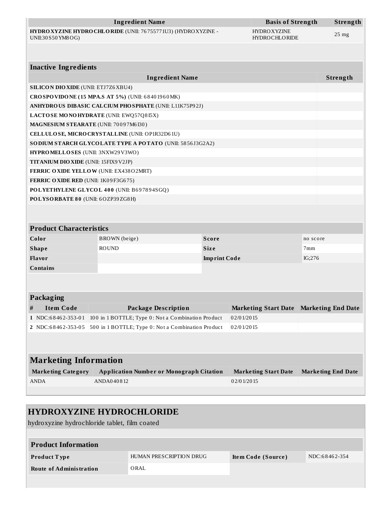| <b>Ingredient Name</b>                                                                 |                                                                         |                     |                             | Strength<br><b>Basis of Strength</b> |                           |  |
|----------------------------------------------------------------------------------------|-------------------------------------------------------------------------|---------------------|-----------------------------|--------------------------------------|---------------------------|--|
| UNII:30 S50 YM8 OG)                                                                    | HYDRO XYZINE HYDRO CHLORIDE (UNII: 76755771U3) (HYDRO XYZINE -          |                     | <b>HYDRO XYZINE</b>         | <b>HYDROCHLORIDE</b>                 |                           |  |
|                                                                                        |                                                                         |                     |                             |                                      |                           |  |
| <b>Inactive Ingredients</b>                                                            |                                                                         |                     |                             |                                      |                           |  |
|                                                                                        | <b>Ingredient Name</b>                                                  |                     |                             |                                      | Strength                  |  |
| <b>SILICON DIO XIDE (UNII: ETJ7Z6 XBU4)</b>                                            |                                                                         |                     |                             |                                      |                           |  |
|                                                                                        | CROSPOVIDONE (15 MPA.S AT 5%) (UNII: 68401960MK)                        |                     |                             |                                      |                           |  |
|                                                                                        | ANHYDROUS DIBASIC CALCIUM PHOSPHATE (UNII: L11K75P92J)                  |                     |                             |                                      |                           |  |
|                                                                                        | LACTOSE MONOHYDRATE (UNII: EWQ57Q8I5X)                                  |                     |                             |                                      |                           |  |
| MAGNESIUM STEARATE (UNII: 70097M6I30)                                                  |                                                                         |                     |                             |                                      |                           |  |
|                                                                                        | CELLULOSE, MICRO CRYSTALLINE (UNII: OP1R32D61U)                         |                     |                             |                                      |                           |  |
|                                                                                        | SODIUM STARCH GLYCOLATE TYPE A POTATO (UNII: 5856J3G2A2)                |                     |                             |                                      |                           |  |
| HYPROMELLOSES (UNII: 3NXW29V3WO)                                                       |                                                                         |                     |                             |                                      |                           |  |
| TITANIUM DIO XIDE (UNII: 15FIX9V2JP)                                                   |                                                                         |                     |                             |                                      |                           |  |
| FERRIC OXIDE YELLOW (UNII: EX438O2MRT)                                                 |                                                                         |                     |                             |                                      |                           |  |
| FERRIC OXIDE RED (UNII: 1K09F3G675)                                                    |                                                                         |                     |                             |                                      |                           |  |
|                                                                                        | POLYETHYLENE GLYCOL 400 (UNII: B697894SGQ)                              |                     |                             |                                      |                           |  |
| POLYSORBATE 80 (UNII: 6OZP39ZG8H)                                                      |                                                                         |                     |                             |                                      |                           |  |
|                                                                                        |                                                                         |                     |                             |                                      |                           |  |
| <b>Product Characteristics</b>                                                         |                                                                         |                     |                             |                                      |                           |  |
| Color                                                                                  | BROWN (beige)                                                           | <b>Score</b>        |                             | no score                             |                           |  |
| <b>Shape</b>                                                                           | <b>ROUND</b>                                                            | <b>Size</b><br>7mm  |                             |                                      |                           |  |
| Flavor                                                                                 |                                                                         | <b>Imprint Code</b> |                             | IG;276                               |                           |  |
| <b>Contains</b>                                                                        |                                                                         |                     |                             |                                      |                           |  |
|                                                                                        |                                                                         |                     |                             |                                      |                           |  |
|                                                                                        |                                                                         |                     |                             |                                      |                           |  |
| <b>Packaging</b>                                                                       |                                                                         |                     |                             |                                      |                           |  |
| <b>Item Code</b><br>#                                                                  | <b>Package Description</b><br>Marketing Start Date   Marketing End Date |                     |                             |                                      |                           |  |
| 1 NDC:68462-353-01                                                                     | 02/01/2015<br>100 in 1 BOTTLE; Type 0: Not a Combination Product        |                     |                             |                                      |                           |  |
| 500 in 1 BOTTLE; Type 0: Not a Combination Product<br>02/01/2015<br>2 NDC:68462-353-05 |                                                                         |                     |                             |                                      |                           |  |
|                                                                                        |                                                                         |                     |                             |                                      |                           |  |
|                                                                                        |                                                                         |                     |                             |                                      |                           |  |
| <b>Marketing Information</b>                                                           |                                                                         |                     |                             |                                      |                           |  |
| <b>Marketing Category</b>                                                              | <b>Application Number or Monograph Citation</b>                         |                     | <b>Marketing Start Date</b> |                                      | <b>Marketing End Date</b> |  |
| <b>ANDA</b>                                                                            | ANDA040812                                                              |                     | 02/01/2015                  |                                      |                           |  |
|                                                                                        |                                                                         |                     |                             |                                      |                           |  |

# **HYDROXYZINE HYDROCHLORIDE**

hydroxyzine hydrochloride tablet, film coated

| <b>Product Information</b>     |                         |                    |               |  |
|--------------------------------|-------------------------|--------------------|---------------|--|
| <b>Product Type</b>            | HUMAN PRESCRIPTION DRUG | Item Code (Source) | NDC:68462-354 |  |
| <b>Route of Administration</b> | ORAL                    |                    |               |  |